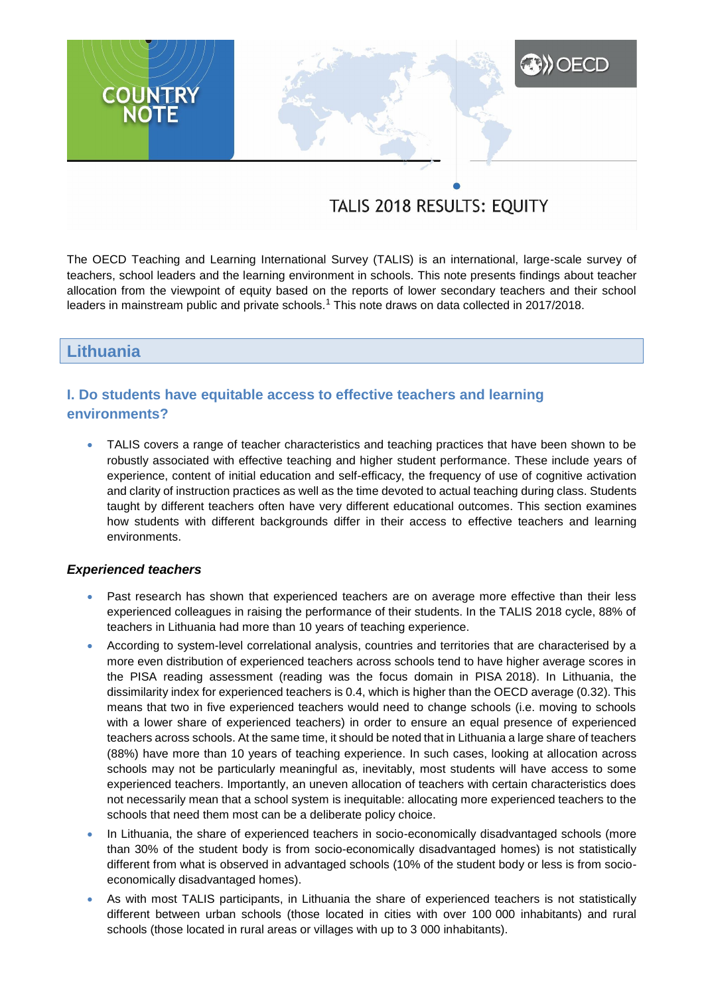# **A)** OECD **COUNTRY**<br>NOTE

# TALIS 2018 RESULTS: EQUITY

The OECD Teaching and Learning International Survey (TALIS) is an international, large-scale survey of teachers, school leaders and the learning environment in schools. This note presents findings about teacher allocation from the viewpoint of equity based on the reports of lower secondary teachers and their school leaders in mainstream public and private schools.<sup>1</sup> This note draws on data collected in 2017/2018.

# **Lithuania**

# **I. Do students have equitable access to effective teachers and learning environments?**

 TALIS covers a range of teacher characteristics and teaching practices that have been shown to be robustly associated with effective teaching and higher student performance. These include years of experience, content of initial education and self-efficacy, the frequency of use of cognitive activation and clarity of instruction practices as well as the time devoted to actual teaching during class. Students taught by different teachers often have very different educational outcomes. This section examines how students with different backgrounds differ in their access to effective teachers and learning environments.

#### *Experienced teachers*

- Past research has shown that experienced teachers are on average more effective than their less experienced colleagues in raising the performance of their students. In the TALIS 2018 cycle, 88% of teachers in Lithuania had more than 10 years of teaching experience.
- According to system-level correlational analysis, countries and territories that are characterised by a more even distribution of experienced teachers across schools tend to have higher average scores in the PISA reading assessment (reading was the focus domain in PISA 2018). In Lithuania, the dissimilarity index for experienced teachers is 0.4, which is higher than the OECD average (0.32). This means that two in five experienced teachers would need to change schools (i.e. moving to schools with a lower share of experienced teachers) in order to ensure an equal presence of experienced teachers across schools. At the same time, it should be noted that in Lithuania a large share of teachers (88%) have more than 10 years of teaching experience. In such cases, looking at allocation across schools may not be particularly meaningful as, inevitably, most students will have access to some experienced teachers. Importantly, an uneven allocation of teachers with certain characteristics does not necessarily mean that a school system is inequitable: allocating more experienced teachers to the schools that need them most can be a deliberate policy choice.
- In Lithuania, the share of experienced teachers in socio-economically disadvantaged schools (more than 30% of the student body is from socio-economically disadvantaged homes) is not statistically different from what is observed in advantaged schools (10% of the student body or less is from socioeconomically disadvantaged homes).
- As with most TALIS participants, in Lithuania the share of experienced teachers is not statistically different between urban schools (those located in cities with over 100 000 inhabitants) and rural schools (those located in rural areas or villages with up to 3 000 inhabitants).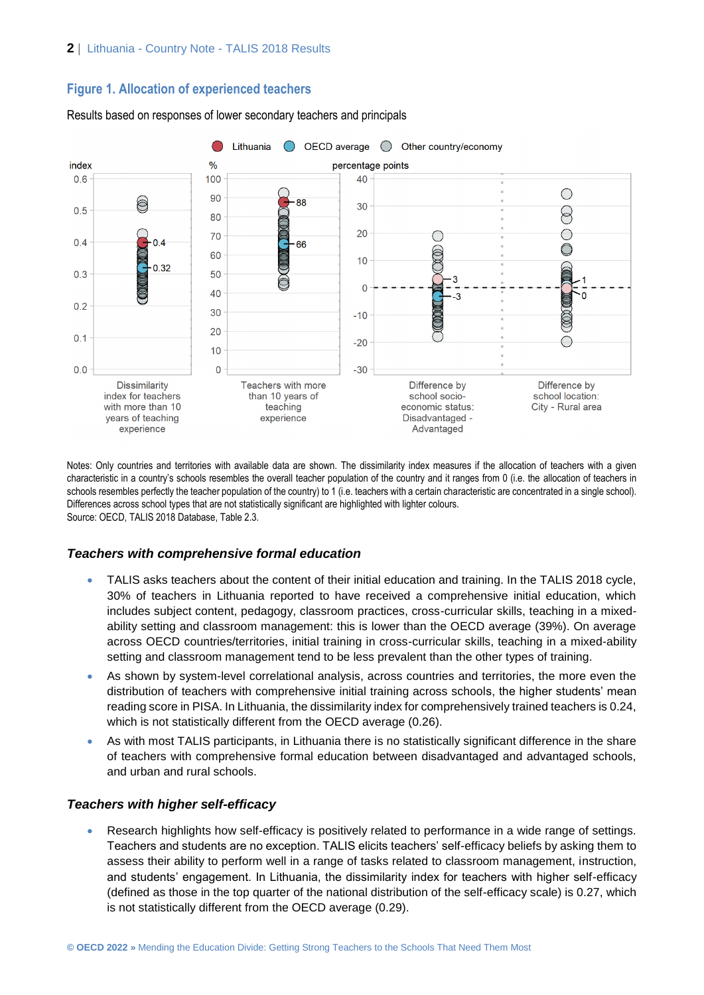# **Figure 1. Allocation of experienced teachers**



Results based on responses of lower secondary teachers and principals

Notes: Only countries and territories with available data are shown. The dissimilarity index measures if the allocation of teachers with a given characteristic in a country's schools resembles the overall teacher population of the country and it ranges from 0 (i.e. the allocation of teachers in schools resembles perfectly the teacher population of the country) to 1 (i.e. teachers with a certain characteristic are concentrated in a single school). Differences across school types that are not statistically significant are highlighted with lighter colours. Source: OECD, TALIS 2018 Database, Table 2.3.

## *Teachers with comprehensive formal education*

- TALIS asks teachers about the content of their initial education and training. In the TALIS 2018 cycle, 30% of teachers in Lithuania reported to have received a comprehensive initial education, which includes subject content, pedagogy, classroom practices, cross-curricular skills, teaching in a mixedability setting and classroom management: this is lower than the OECD average (39%). On average across OECD countries/territories, initial training in cross-curricular skills, teaching in a mixed-ability setting and classroom management tend to be less prevalent than the other types of training.
- As shown by system-level correlational analysis, across countries and territories, the more even the distribution of teachers with comprehensive initial training across schools, the higher students' mean reading score in PISA. In Lithuania, the dissimilarity index for comprehensively trained teachers is 0.24, which is not statistically different from the OECD average (0.26).
- As with most TALIS participants, in Lithuania there is no statistically significant difference in the share of teachers with comprehensive formal education between disadvantaged and advantaged schools, and urban and rural schools.

# *Teachers with higher self-efficacy*

 Research highlights how self-efficacy is positively related to performance in a wide range of settings. Teachers and students are no exception. TALIS elicits teachers' self-efficacy beliefs by asking them to assess their ability to perform well in a range of tasks related to classroom management, instruction, and students' engagement. In Lithuania, the dissimilarity index for teachers with higher self-efficacy (defined as those in the top quarter of the national distribution of the self-efficacy scale) is 0.27, which is not statistically different from the OECD average (0.29).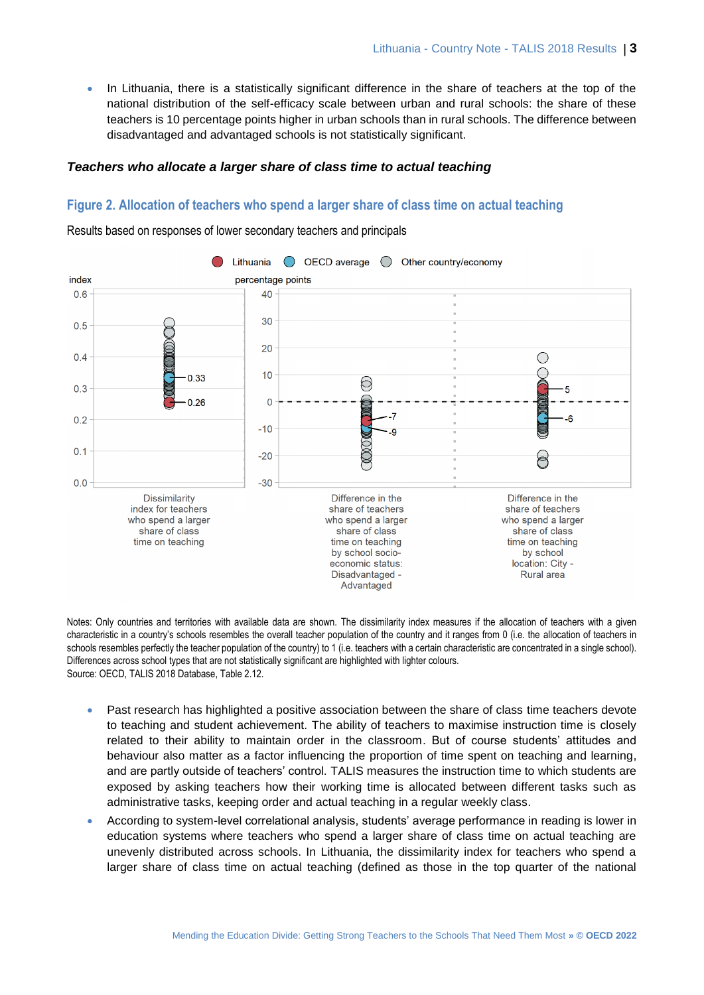• In Lithuania, there is a statistically significant difference in the share of teachers at the top of the national distribution of the self-efficacy scale between urban and rural schools: the share of these teachers is 10 percentage points higher in urban schools than in rural schools. The difference between disadvantaged and advantaged schools is not statistically significant.

#### *Teachers who allocate a larger share of class time to actual teaching*

#### **Figure 2. Allocation of teachers who spend a larger share of class time on actual teaching**

Results based on responses of lower secondary teachers and principals



Notes: Only countries and territories with available data are shown. The dissimilarity index measures if the allocation of teachers with a given characteristic in a country's schools resembles the overall teacher population of the country and it ranges from 0 (i.e. the allocation of teachers in schools resembles perfectly the teacher population of the country) to 1 (i.e. teachers with a certain characteristic are concentrated in a single school). Differences across school types that are not statistically significant are highlighted with lighter colours. Source: OECD, TALIS 2018 Database, Table 2.12.

- Past research has highlighted a positive association between the share of class time teachers devote to teaching and student achievement. The ability of teachers to maximise instruction time is closely related to their ability to maintain order in the classroom. But of course students' attitudes and behaviour also matter as a factor influencing the proportion of time spent on teaching and learning, and are partly outside of teachers' control. TALIS measures the instruction time to which students are exposed by asking teachers how their working time is allocated between different tasks such as administrative tasks, keeping order and actual teaching in a regular weekly class.
- According to system-level correlational analysis, students' average performance in reading is lower in education systems where teachers who spend a larger share of class time on actual teaching are unevenly distributed across schools. In Lithuania, the dissimilarity index for teachers who spend a larger share of class time on actual teaching (defined as those in the top quarter of the national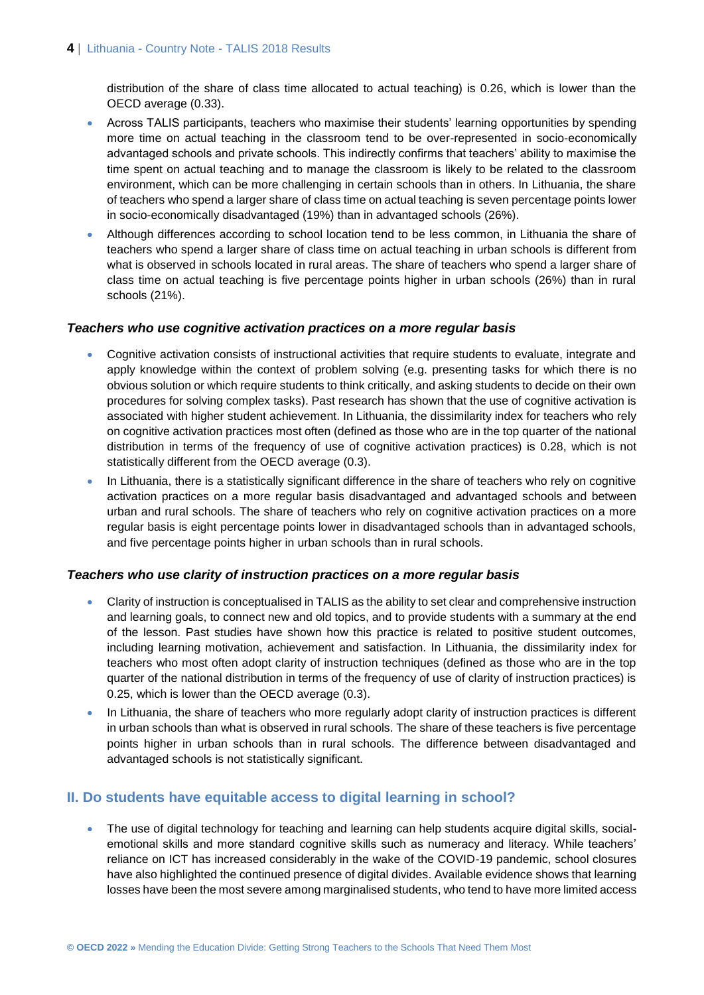distribution of the share of class time allocated to actual teaching) is 0.26, which is lower than the OECD average (0.33).

- Across TALIS participants, teachers who maximise their students' learning opportunities by spending more time on actual teaching in the classroom tend to be over-represented in socio-economically advantaged schools and private schools. This indirectly confirms that teachers' ability to maximise the time spent on actual teaching and to manage the classroom is likely to be related to the classroom environment, which can be more challenging in certain schools than in others. In Lithuania, the share of teachers who spend a larger share of class time on actual teaching is seven percentage points lower in socio-economically disadvantaged (19%) than in advantaged schools (26%).
- Although differences according to school location tend to be less common, in Lithuania the share of teachers who spend a larger share of class time on actual teaching in urban schools is different from what is observed in schools located in rural areas. The share of teachers who spend a larger share of class time on actual teaching is five percentage points higher in urban schools (26%) than in rural schools (21%).

#### *Teachers who use cognitive activation practices on a more regular basis*

- Cognitive activation consists of instructional activities that require students to evaluate, integrate and apply knowledge within the context of problem solving (e.g. presenting tasks for which there is no obvious solution or which require students to think critically, and asking students to decide on their own procedures for solving complex tasks). Past research has shown that the use of cognitive activation is associated with higher student achievement. In Lithuania, the dissimilarity index for teachers who rely on cognitive activation practices most often (defined as those who are in the top quarter of the national distribution in terms of the frequency of use of cognitive activation practices) is 0.28, which is not statistically different from the OECD average (0.3).
- In Lithuania, there is a statistically significant difference in the share of teachers who rely on cognitive activation practices on a more regular basis disadvantaged and advantaged schools and between urban and rural schools. The share of teachers who rely on cognitive activation practices on a more regular basis is eight percentage points lower in disadvantaged schools than in advantaged schools, and five percentage points higher in urban schools than in rural schools.

#### *Teachers who use clarity of instruction practices on a more regular basis*

- Clarity of instruction is conceptualised in TALIS as the ability to set clear and comprehensive instruction and learning goals, to connect new and old topics, and to provide students with a summary at the end of the lesson. Past studies have shown how this practice is related to positive student outcomes, including learning motivation, achievement and satisfaction. In Lithuania, the dissimilarity index for teachers who most often adopt clarity of instruction techniques (defined as those who are in the top quarter of the national distribution in terms of the frequency of use of clarity of instruction practices) is 0.25, which is lower than the OECD average (0.3).
- In Lithuania, the share of teachers who more regularly adopt clarity of instruction practices is different in urban schools than what is observed in rural schools. The share of these teachers is five percentage points higher in urban schools than in rural schools. The difference between disadvantaged and advantaged schools is not statistically significant.

## **II. Do students have equitable access to digital learning in school?**

 The use of digital technology for teaching and learning can help students acquire digital skills, socialemotional skills and more standard cognitive skills such as numeracy and literacy. While teachers' reliance on ICT has increased considerably in the wake of the COVID-19 pandemic, school closures have also highlighted the continued presence of digital divides. Available evidence shows that learning losses have been the most severe among marginalised students, who tend to have more limited access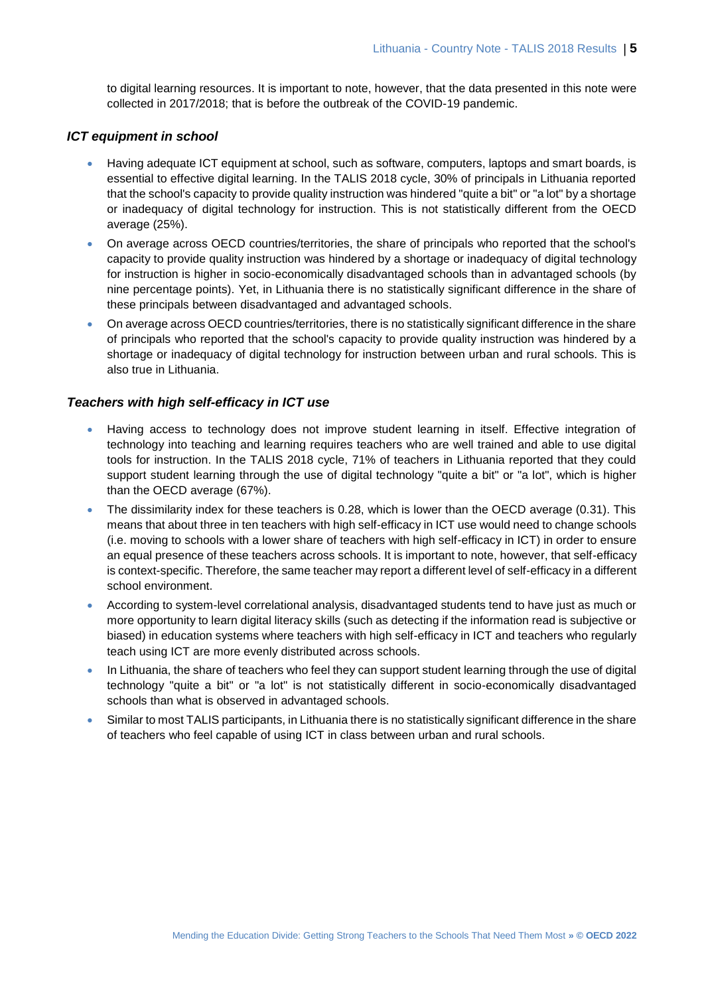to digital learning resources. It is important to note, however, that the data presented in this note were collected in 2017/2018; that is before the outbreak of the COVID-19 pandemic.

#### *ICT equipment in school*

- Having adequate ICT equipment at school, such as software, computers, laptops and smart boards, is essential to effective digital learning. In the TALIS 2018 cycle, 30% of principals in Lithuania reported that the school's capacity to provide quality instruction was hindered "quite a bit" or "a lot" by a shortage or inadequacy of digital technology for instruction. This is not statistically different from the OECD average (25%).
- On average across OECD countries/territories, the share of principals who reported that the school's capacity to provide quality instruction was hindered by a shortage or inadequacy of digital technology for instruction is higher in socio-economically disadvantaged schools than in advantaged schools (by nine percentage points). Yet, in Lithuania there is no statistically significant difference in the share of these principals between disadvantaged and advantaged schools.
- On average across OECD countries/territories, there is no statistically significant difference in the share of principals who reported that the school's capacity to provide quality instruction was hindered by a shortage or inadequacy of digital technology for instruction between urban and rural schools. This is also true in Lithuania.

#### *Teachers with high self-efficacy in ICT use*

- Having access to technology does not improve student learning in itself. Effective integration of technology into teaching and learning requires teachers who are well trained and able to use digital tools for instruction. In the TALIS 2018 cycle, 71% of teachers in Lithuania reported that they could support student learning through the use of digital technology "quite a bit" or "a lot", which is higher than the OECD average (67%).
- The dissimilarity index for these teachers is 0.28, which is lower than the OECD average (0.31). This means that about three in ten teachers with high self-efficacy in ICT use would need to change schools (i.e. moving to schools with a lower share of teachers with high self-efficacy in ICT) in order to ensure an equal presence of these teachers across schools. It is important to note, however, that self-efficacy is context-specific. Therefore, the same teacher may report a different level of self-efficacy in a different school environment.
- According to system-level correlational analysis, disadvantaged students tend to have just as much or more opportunity to learn digital literacy skills (such as detecting if the information read is subjective or biased) in education systems where teachers with high self-efficacy in ICT and teachers who regularly teach using ICT are more evenly distributed across schools.
- In Lithuania, the share of teachers who feel they can support student learning through the use of digital technology "quite a bit" or "a lot" is not statistically different in socio-economically disadvantaged schools than what is observed in advantaged schools.
- Similar to most TALIS participants, in Lithuania there is no statistically significant difference in the share of teachers who feel capable of using ICT in class between urban and rural schools.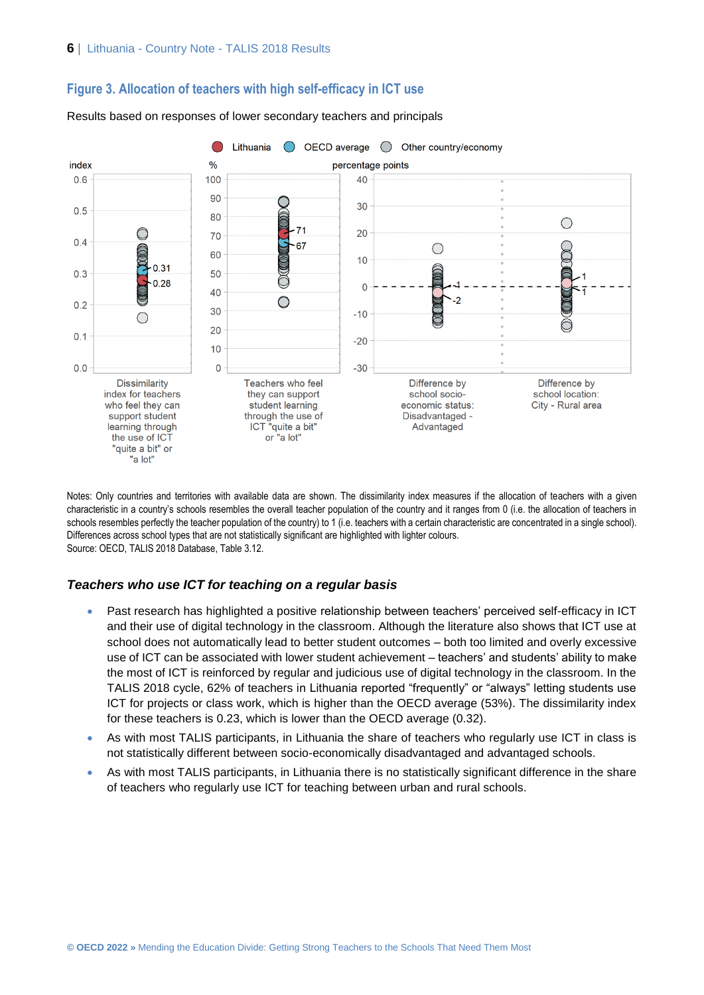



Results based on responses of lower secondary teachers and principals

Notes: Only countries and territories with available data are shown. The dissimilarity index measures if the allocation of teachers with a given characteristic in a country's schools resembles the overall teacher population of the country and it ranges from 0 (i.e. the allocation of teachers in schools resembles perfectly the teacher population of the country) to 1 (i.e. teachers with a certain characteristic are concentrated in a single school). Differences across school types that are not statistically significant are highlighted with lighter colours. Source: OECD, TALIS 2018 Database, Table 3.12.

#### *Teachers who use ICT for teaching on a regular basis*

- Past research has highlighted a positive relationship between teachers' perceived self-efficacy in ICT and their use of digital technology in the classroom. Although the literature also shows that ICT use at school does not automatically lead to better student outcomes – both too limited and overly excessive use of ICT can be associated with lower student achievement – teachers' and students' ability to make the most of ICT is reinforced by regular and judicious use of digital technology in the classroom. In the TALIS 2018 cycle, 62% of teachers in Lithuania reported "frequently" or "always" letting students use ICT for projects or class work, which is higher than the OECD average (53%). The dissimilarity index for these teachers is 0.23, which is lower than the OECD average (0.32).
- As with most TALIS participants, in Lithuania the share of teachers who regularly use ICT in class is not statistically different between socio-economically disadvantaged and advantaged schools.
- As with most TALIS participants, in Lithuania there is no statistically significant difference in the share of teachers who regularly use ICT for teaching between urban and rural schools.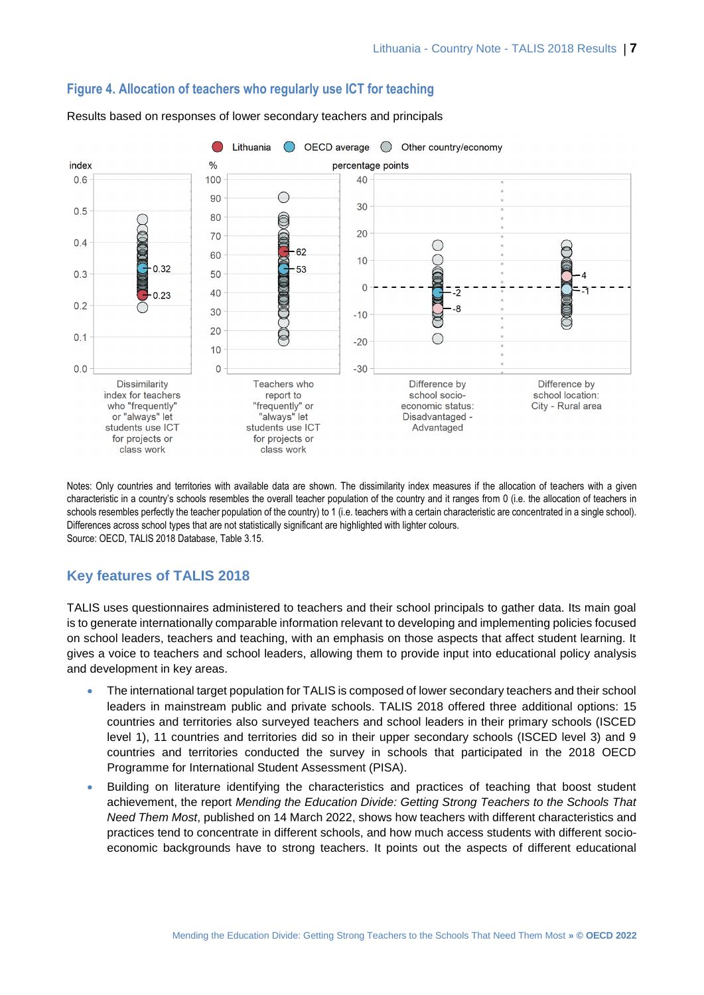

#### **Figure 4. Allocation of teachers who regularly use ICT for teaching**

Results based on responses of lower secondary teachers and principals

Notes: Only countries and territories with available data are shown. The dissimilarity index measures if the allocation of teachers with a given characteristic in a country's schools resembles the overall teacher population of the country and it ranges from 0 (i.e. the allocation of teachers in schools resembles perfectly the teacher population of the country) to 1 (i.e. teachers with a certain characteristic are concentrated in a single school). Differences across school types that are not statistically significant are highlighted with lighter colours. Source: OECD, TALIS 2018 Database, Table 3.15.

# **Key features of TALIS 2018**

TALIS uses questionnaires administered to teachers and their school principals to gather data. Its main goal is to generate internationally comparable information relevant to developing and implementing policies focused on school leaders, teachers and teaching, with an emphasis on those aspects that affect student learning. It gives a voice to teachers and school leaders, allowing them to provide input into educational policy analysis and development in key areas.

- The international target population for TALIS is composed of lower secondary teachers and their school leaders in mainstream public and private schools. TALIS 2018 offered three additional options: 15 countries and territories also surveyed teachers and school leaders in their primary schools (ISCED level 1), 11 countries and territories did so in their upper secondary schools (ISCED level 3) and 9 countries and territories conducted the survey in schools that participated in the 2018 OECD Programme for International Student Assessment (PISA).
- Building on literature identifying the characteristics and practices of teaching that boost student achievement, the report *Mending the Education Divide: Getting Strong Teachers to the Schools That Need Them Most*, published on 14 March 2022, shows how teachers with different characteristics and practices tend to concentrate in different schools, and how much access students with different socioeconomic backgrounds have to strong teachers. It points out the aspects of different educational